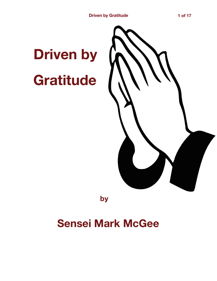## **Driven by Gratitude**



**by** 

## **Sensei Mark McGee**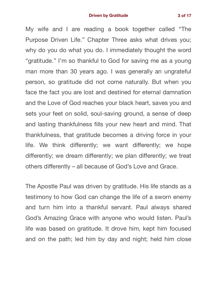My wife and I are reading a book together called "The Purpose Driven Life." Chapter Three asks what drives you; why do you do what you do. I immediately thought the word "gratitude." I'm so thankful to God for saving me as a young man more than 30 years ago. I was generally an ungrateful person, so gratitude did not come naturally. But when you face the fact you are lost and destined for eternal damnation and the Love of God reaches your black heart, saves you and sets your feet on solid, soul-saving ground, a sense of deep and lasting thankfulness fills your new heart and mind. That thankfulness, that gratitude becomes a driving force in your life. We think differently; we want differently; we hope differently; we dream differently; we plan differently; we treat others differently – all because of God's Love and Grace.

The Apostle Paul was driven by gratitude. His life stands as a testimony to how God can change the life of a sworn enemy and turn him into a thankful servant. Paul always shared God's Amazing Grace with anyone who would listen. Paul's life was based on gratitude. It drove him, kept him focused and on the path; led him by day and night; held him close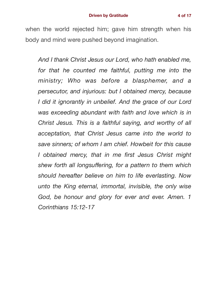when the world rejected him; gave him strength when his body and mind were pushed beyond imagination.

*And I thank Christ Jesus our Lord, who hath enabled me, for that he counted me faithful, putting me into the ministry; Who was before a blasphemer, and a persecutor, and injurious: but I obtained mercy, because I did it ignorantly in unbelief. And the grace of our Lord was exceeding abundant with faith and love which is in Christ Jesus. This is a faithful saying, and worthy of all acceptation, that Christ Jesus came into the world to save sinners; of whom I am chief. Howbeit for this cause I obtained mercy, that in me first Jesus Christ might shew forth all longsuffering, for a pattern to them which should hereafter believe on him to life everlasting. Now unto the King eternal, immortal, invisible, the only wise God, be honour and glory for ever and ever. Amen. 1 Corinthians 15:12-17*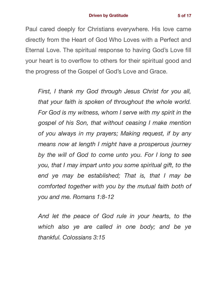Paul cared deeply for Christians everywhere. His love came directly from the Heart of God Who Loves with a Perfect and Eternal Love. The spiritual response to having God's Love fill your heart is to overflow to others for their spiritual good and the progress of the Gospel of God's Love and Grace.

*First, I thank my God through Jesus Christ for you all, that your faith is spoken of throughout the whole world. For God is my witness, whom I serve with my spirit in the gospel of his Son, that without ceasing I make mention of you always in my prayers; Making request, if by any means now at length I might have a prosperous journey by the will of God to come unto you. For I long to see you, that I may impart unto you some spiritual gift, to the end ye may be established; That is, that I may be comforted together with you by the mutual faith both of you and me. Romans 1:8-12* 

*And let the peace of God rule in your hearts, to the which also ye are called in one body; and be ye thankful. Colossians 3:15*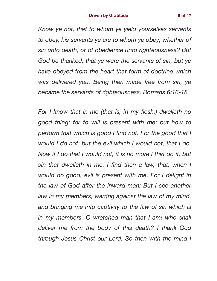*Know ye not, that to whom ye yield yourselves servants to obey, his servants ye are to whom ye obey; whether of sin unto death, or of obedience unto righteousness? But God be thanked, that ye were the servants of sin, but ye have obeyed from the heart that form of doctrine which was delivered you. Being then made free from sin, ye became the servants of righteousness. Romans 6:16-18* 

*For I know that in me (that is, in my flesh,) dwelleth no good thing: for to will is present with me; but how to perform that which is good I find not. For the good that I would I do not: but the evil which I would not, that I do. Now if I do that I would not, it is no more I that do it, but sin that dwelleth in me. I find then a law, that, when I would do good, evil is present with me. For I delight in the law of God after the inward man: But I see another law in my members, warring against the law of my mind, and bringing me into captivity to the law of sin which is in my members. O wretched man that I am! who shall deliver me from the body of this death? I thank God through Jesus Christ our Lord. So then with the mind I*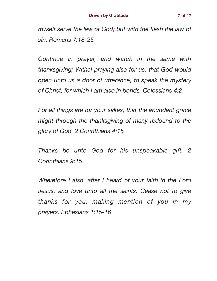*myself serve the law of God; but with the flesh the law of sin. Romans 7:18-25* 

*Continue in prayer, and watch in the same with thanksgiving; Withal praying also for us, that God would open unto us a door of utterance, to speak the mystery of Christ, for which I am also in bonds. Colossians 4:2* 

*For all things are for your sakes, that the abundant grace might through the thanksgiving of many redound to the glory of God. 2 Corinthians 4:15* 

*Thanks be unto God for his unspeakable gift. 2 Corinthians 9:15* 

*Wherefore I also, after I heard of your faith in the Lord Jesus, and love unto all the saints, Cease not to give thanks for you, making mention of you in my prayers. Ephesians 1:15-16*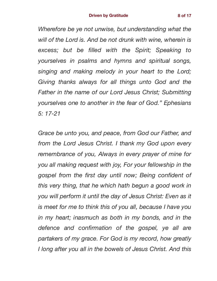*Wherefore be ye not unwise, but understanding what the will of the Lord is. And be not drunk with wine, wherein is excess; but be filled with the Spirit; Speaking to yourselves in psalms and hymns and spiritual songs, singing and making melody in your heart to the Lord; Giving thanks always for all things unto God and the Father in the name of our Lord Jesus Christ; Submitting yourselves one to another in the fear of God." Ephesians 5: 17-21* 

*Grace be unto you, and peace, from God our Father, and from the Lord Jesus Christ. I thank my God upon every remembrance of you, Always in every prayer of mine for you all making request with joy, For your fellowship in the gospel from the first day until now; Being confident of this very thing, that he which hath begun a good work in you will perform it until the day of Jesus Christ: Even as it is meet for me to think this of you all, because I have you in my heart; inasmuch as both in my bonds, and in the defence and confirmation of the gospel, ye all are partakers of my grace. For God is my record, how greatly I long after you all in the bowels of Jesus Christ. And this*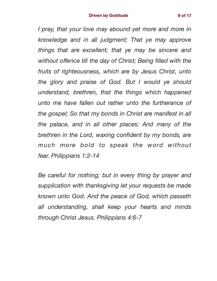*I pray, that your love may abound yet more and more in knowledge and in all judgment; That ye may approve things that are excellent; that ye may be sincere and without offence till the day of Christ; Being filled with the fruits of righteousness, which are by Jesus Christ, unto the glory and praise of God. But I would ye should understand, brethren, that the things which happened unto me have fallen out rather unto the furtherance of the gospel; So that my bonds in Christ are manifest in all the palace, and in all other places; And many of the brethren in the Lord, waxing confident by my bonds, are much more bold to speak the word without fear. Philippians 1:2-14* 

*Be careful for nothing; but in every thing by prayer and supplication with thanksgiving let your requests be made known unto God. And the peace of God, which passeth all understanding, shall keep your hearts and minds through Christ Jesus. Philippians 4:6-7*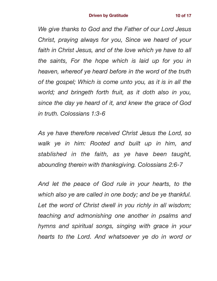*We give thanks to God and the Father of our Lord Jesus Christ, praying always for you, Since we heard of your faith in Christ Jesus, and of the love which ye have to all the saints, For the hope which is laid up for you in heaven, whereof ye heard before in the word of the truth of the gospel; Which is come unto you, as it is in all the world; and bringeth forth fruit, as it doth also in you, since the day ye heard of it, and knew the grace of God in truth. Colossians 1:3-6* 

*As ye have therefore received Christ Jesus the Lord, so walk ye in him: Rooted and built up in him, and stablished in the faith, as ye have been taught, abounding therein with thanksgiving. Colossians 2:6-7* 

*And let the peace of God rule in your hearts, to the which also ye are called in one body; and be ye thankful.*  Let the word of Christ dwell in you richly in all wisdom; *teaching and admonishing one another in psalms and hymns and spiritual songs, singing with grace in your hearts to the Lord. And whatsoever ye do in word or*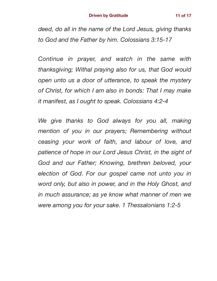*deed, do all in the name of the Lord Jesus, giving thanks to God and the Father by him. Colossians 3:15-17* 

*Continue in prayer, and watch in the same with thanksgiving; Withal praying also for us, that God would open unto us a door of utterance, to speak the mystery of Christ, for which I am also in bonds: That I may make it manifest, as I ought to speak. Colossians 4:2-4* 

*We give thanks to God always for you all, making mention of you in our prayers; Remembering without ceasing your work of faith, and labour of love, and patience of hope in our Lord Jesus Christ, in the sight of God and our Father; Knowing, brethren beloved, your election of God. For our gospel came not unto you in word only, but also in power, and in the Holy Ghost, and in much assurance; as ye know what manner of men we were among you for your sake. 1 Thessalonians 1:2-5*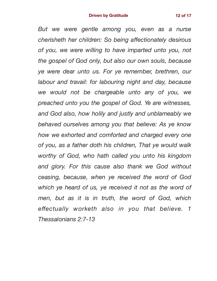*But we were gentle among you, even as a nurse cherisheth her children: So being affectionately desirous of you, we were willing to have imparted unto you, not the gospel of God only, but also our own souls, because ye were dear unto us. For ye remember, brethren, our labour and travail: for labouring night and day, because we would not be chargeable unto any of you, we preached unto you the gospel of God. Ye are witnesses, and God also, how holily and justly and unblameably we behaved ourselves among you that believe: As ye know how we exhorted and comforted and charged every one of you, as a father doth his children, That ye would walk worthy of God, who hath called you unto his kingdom and glory. For this cause also thank we God without ceasing, because, when ye received the word of God which ye heard of us, ye received it not as the word of men, but as it is in truth, the word of God, which effectually worketh also in you that believe. 1 Thessalonians 2:7-13*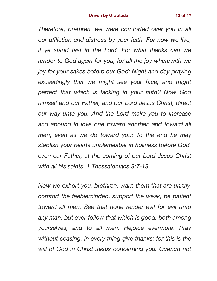*Therefore, brethren, we were comforted over you in all our affliction and distress by your faith: For now we live, if ye stand fast in the Lord. For what thanks can we render to God again for you, for all the joy wherewith we joy for your sakes before our God; Night and day praying exceedingly that we might see your face, and might perfect that which is lacking in your faith? Now God himself and our Father, and our Lord Jesus Christ, direct our way unto you. And the Lord make you to increase and abound in love one toward another, and toward all men, even as we do toward you: To the end he may stablish your hearts unblameable in holiness before God, even our Father, at the coming of our Lord Jesus Christ with all his saints. 1 Thessalonians 3:7-13* 

*Now we exhort you, brethren, warn them that are unruly, comfort the feebleminded, support the weak, be patient toward all men. See that none render evil for evil unto*  any man; but ever follow that which is good, both among *yourselves, and to all men. Rejoice evermore. Pray without ceasing. In every thing give thanks: for this is the will of God in Christ Jesus concerning you. Quench not*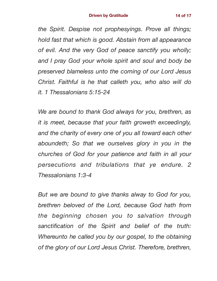*the Spirit. Despise not prophesyings. Prove all things; hold fast that which is good. Abstain from all appearance of evil. And the very God of peace sanctify you wholly; and I pray God your whole spirit and soul and body be preserved blameless unto the coming of our Lord Jesus Christ. Faithful is he that calleth you, who also will do it. 1 Thessalonians 5:15-24* 

*We are bound to thank God always for you, brethren, as it is meet, because that your faith groweth exceedingly, and the charity of every one of you all toward each other aboundeth; So that we ourselves glory in you in the churches of God for your patience and faith in all your persecutions and tribulations that ye endure. 2 Thessalonians 1:3-4* 

*But we are bound to give thanks alway to God for you, brethren beloved of the Lord, because God hath from the beginning chosen you to salvation through sanctification of the Spirit and belief of the truth: Whereunto he called you by our gospel, to the obtaining of the glory of our Lord Jesus Christ. Therefore, brethren,*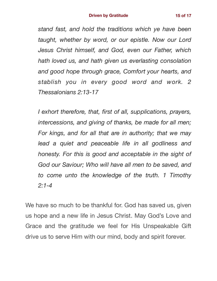*stand fast, and hold the traditions which ye have been taught, whether by word, or our epistle. Now our Lord Jesus Christ himself, and God, even our Father, which hath loved us, and hath given us everlasting consolation and good hope through grace, Comfort your hearts, and stablish you in every good word and work. 2 Thessalonians 2:13-17* 

*I exhort therefore, that, first of all, supplications, prayers, intercessions, and giving of thanks, be made for all men; For kings, and for all that are in authority; that we may lead a quiet and peaceable life in all godliness and honesty. For this is good and acceptable in the sight of God our Saviour; Who will have all men to be saved, and to come unto the knowledge of the truth. 1 Timothy 2:1-4* 

We have so much to be thankful for. God has saved us, given us hope and a new life in Jesus Christ. May God's Love and Grace and the gratitude we feel for His Unspeakable Gift drive us to serve Him with our mind, body and spirit forever.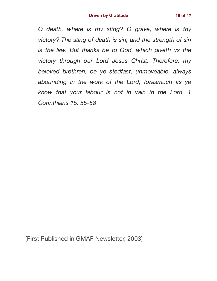*O death, where is thy sting? O grave, where is thy victory? The sting of death is sin; and the strength of sin is the law. But thanks be to God, which giveth us the victory through our Lord Jesus Christ. Therefore, my beloved brethren, be ye stedfast, unmoveable, always abounding in the work of the Lord, forasmuch as ye know that your labour is not in vain in the Lord. 1 Corinthians 15: 55-58* 

[First Published in GMAF Newsletter, 2003]